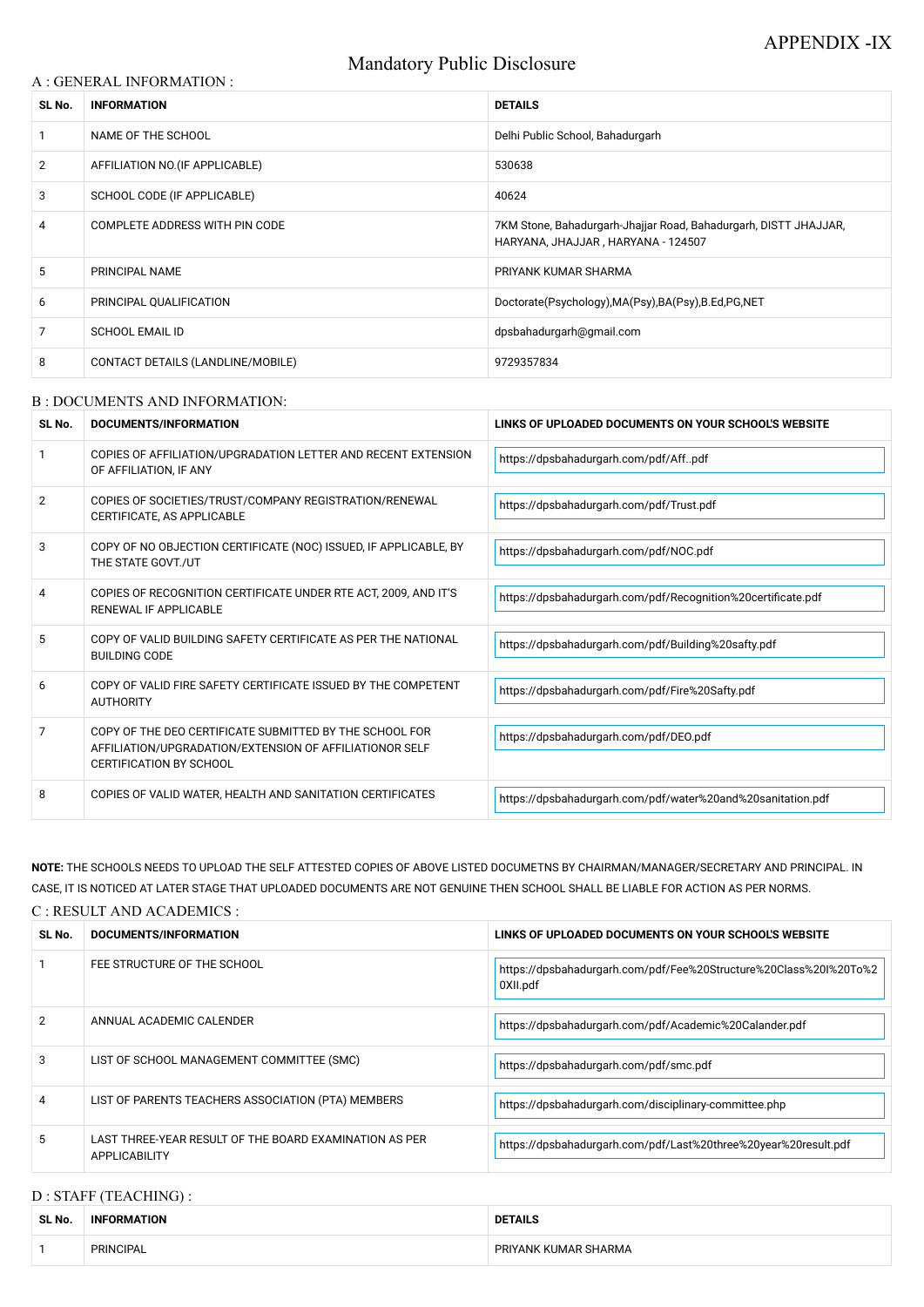# Mandatory Public Disclosure

### A : GENERAL INFORMATION :

| SL No.         | <b>INFORMATION</b>                | <b>DETAILS</b>                                                                                         |  |
|----------------|-----------------------------------|--------------------------------------------------------------------------------------------------------|--|
|                | NAME OF THE SCHOOL                | Delhi Public School, Bahadurgarh                                                                       |  |
| $\overline{2}$ | AFFILIATION NO. (IF APPLICABLE)   | 530638                                                                                                 |  |
| 3              | SCHOOL CODE (IF APPLICABLE)       | 40624                                                                                                  |  |
| 4              | COMPLETE ADDRESS WITH PIN CODE    | 7KM Stone, Bahadurgarh-Jhajjar Road, Bahadurgarh, DISTT JHAJJAR,<br>HARYANA, JHAJJAR, HARYANA - 124507 |  |
| 5              | <b>PRINCIPAL NAME</b>             | PRIYANK KUMAR SHARMA                                                                                   |  |
| 6              | PRINCIPAL QUALIFICATION           | Doctorate(Psychology), MA(Psy), BA(Psy), B.Ed, PG, NET                                                 |  |
| 7              | <b>SCHOOL EMAIL ID</b>            | dpsbahadurgarh@gmail.com                                                                               |  |
| 8              | CONTACT DETAILS (LANDLINE/MOBILE) | 9729357834                                                                                             |  |

#### B : DOCUMENTS AND INFORMATION:

| SL No.         | DOCUMENTS/INFORMATION                                                                                                                                | LINKS OF UPLOADED DOCUMENTS ON YOUR SCHOOL'S WEBSITE         |  |
|----------------|------------------------------------------------------------------------------------------------------------------------------------------------------|--------------------------------------------------------------|--|
|                | COPIES OF AFFILIATION/UPGRADATION LETTER AND RECENT EXTENSION<br>OF AFFILIATION, IF ANY                                                              | https://dpsbahadurgarh.com/pdf/Affpdf                        |  |
| $\overline{2}$ | COPIES OF SOCIETIES/TRUST/COMPANY REGISTRATION/RENEWAL<br>CERTIFICATE, AS APPLICABLE                                                                 | https://dpsbahadurgarh.com/pdf/Trust.pdf                     |  |
| 3              | COPY OF NO OBJECTION CERTIFICATE (NOC) ISSUED, IF APPLICABLE, BY<br>THE STATE GOVT./UT                                                               | https://dpsbahadurgarh.com/pdf/NOC.pdf                       |  |
| 4              | COPIES OF RECOGNITION CERTIFICATE UNDER RTE ACT, 2009, AND IT'S<br><b>RENEWAL IF APPLICABLE</b>                                                      | https://dpsbahadurgarh.com/pdf/Recognition%20certificate.pdf |  |
| 5              | COPY OF VALID BUILDING SAFETY CERTIFICATE AS PER THE NATIONAL<br><b>BUILDING CODE</b>                                                                | https://dpsbahadurgarh.com/pdf/Building%20safty.pdf          |  |
| 6              | COPY OF VALID FIRE SAFETY CERTIFICATE ISSUED BY THE COMPETENT<br><b>AUTHORITY</b>                                                                    | https://dpsbahadurgarh.com/pdf/Fire%20Safty.pdf              |  |
| 7              | COPY OF THE DEO CERTIFICATE SUBMITTED BY THE SCHOOL FOR<br>AFFILIATION/UPGRADATION/EXTENSION OF AFFILIATIONOR SELF<br><b>CERTIFICATION BY SCHOOL</b> | https://dpsbahadurgarh.com/pdf/DEO.pdf                       |  |
| 8              | COPIES OF VALID WATER, HEALTH AND SANITATION CERTIFICATES                                                                                            | https://dpsbahadurgarh.com/pdf/water%20and%20sanitation.pdf  |  |

**NOTE:** THE SCHOOLS NEEDS TO UPLOAD THE SELF ATTESTED COPIES OF ABOVE LISTED DOCUMETNS BY CHAIRMAN/MANAGER/SECRETARY AND PRINCIPAL. IN CASE, IT IS NOTICED AT LATER STAGE THAT UPLOADED DOCUMENTS ARE NOT GENUINE THEN SCHOOL SHALL BE LIABLE FOR ACTION AS PER NORMS. C : RESULT AND ACADEMICS :

| SL No. | DOCUMENTS/INFORMATION       | LINKS OF UPLOADED DOCUMENTS ON YOUR SCHOOL'S WEBSITE                            |
|--------|-----------------------------|---------------------------------------------------------------------------------|
|        | FEE STRUCTURE OF THE SCHOOL | https://dpsbahadurgarh.com/pdf/Fee%20Structure%20Class%20I%20To%2  <br>$NU + 1$ |

|   |                                                                         | 0XII.pdf                                                        |
|---|-------------------------------------------------------------------------|-----------------------------------------------------------------|
| 2 | ANNUAL ACADEMIC CALENDER                                                | https://dpsbahadurgarh.com/pdf/Academic%20Calander.pdf          |
| 3 | LIST OF SCHOOL MANAGEMENT COMMITTEE (SMC)                               | https://dpsbahadurgarh.com/pdf/smc.pdf                          |
| 4 | LIST OF PARENTS TEACHERS ASSOCIATION (PTA) MEMBERS                      | https://dpsbahadurgarh.com/disciplinary-committee.php           |
| 5 | LAST THREE-YEAR RESULT OF THE BOARD EXAMINATION AS PER<br>APPLICABILITY | https://dpsbahadurgarh.com/pdf/Last%20three%20year%20result.pdf |

# D : STAFF (TEACHING) :

| SL No. | <b>INFORMATION</b> | <b>DETAILS</b>       |
|--------|--------------------|----------------------|
|        | PRINCIPAL          | PRIYANK KUMAR SHARMA |